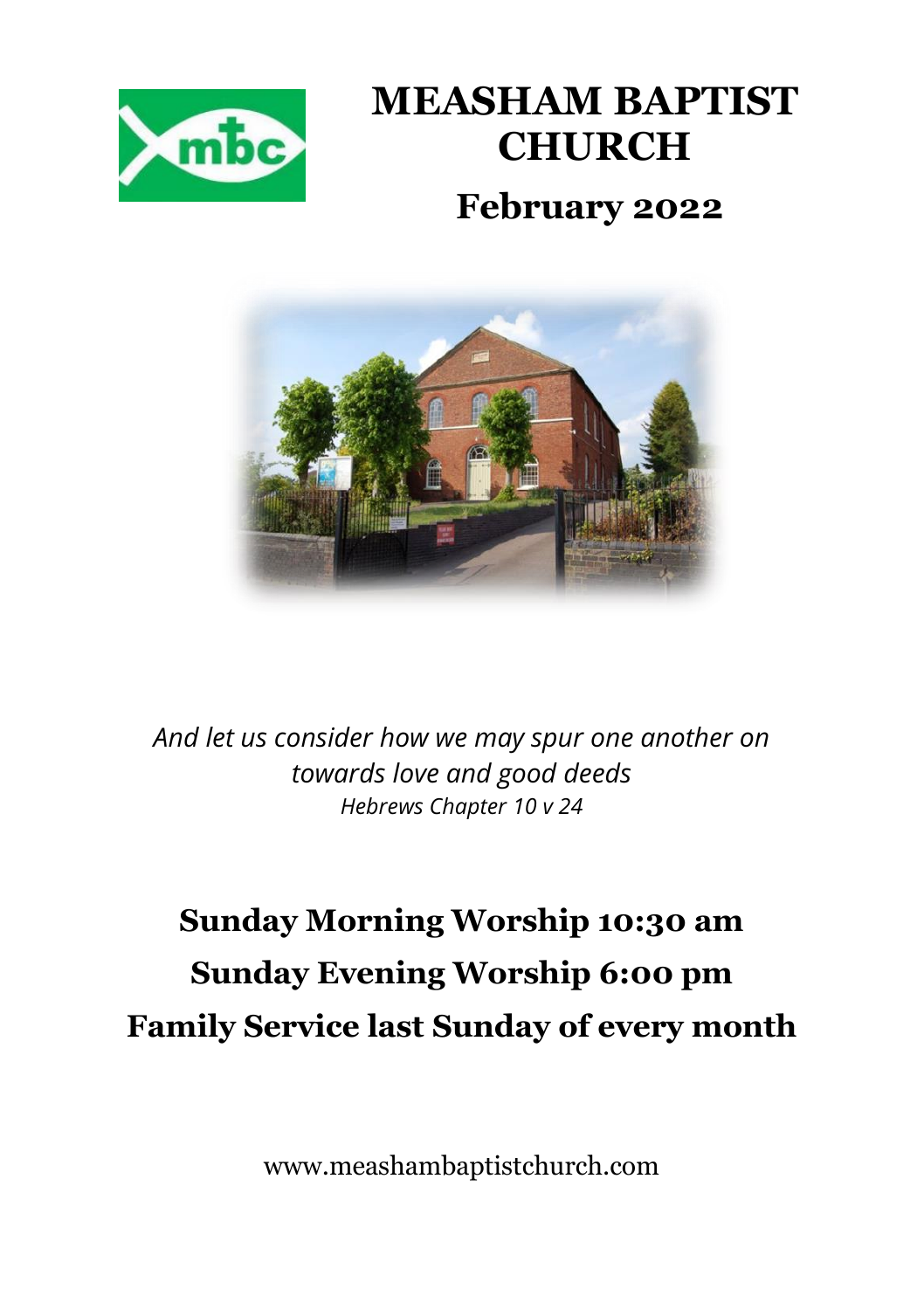

## **MEASHAM BAPTIST CHURCH February 2022**



*And let us consider how we may spur one another on towards love and good deeds Hebrews Chapter 10 v 24*

### **Sunday Morning Worship 10:30 am Sunday Evening Worship 6:00 pm Family Service last Sunday of every month**

www.meashambaptistchurch.com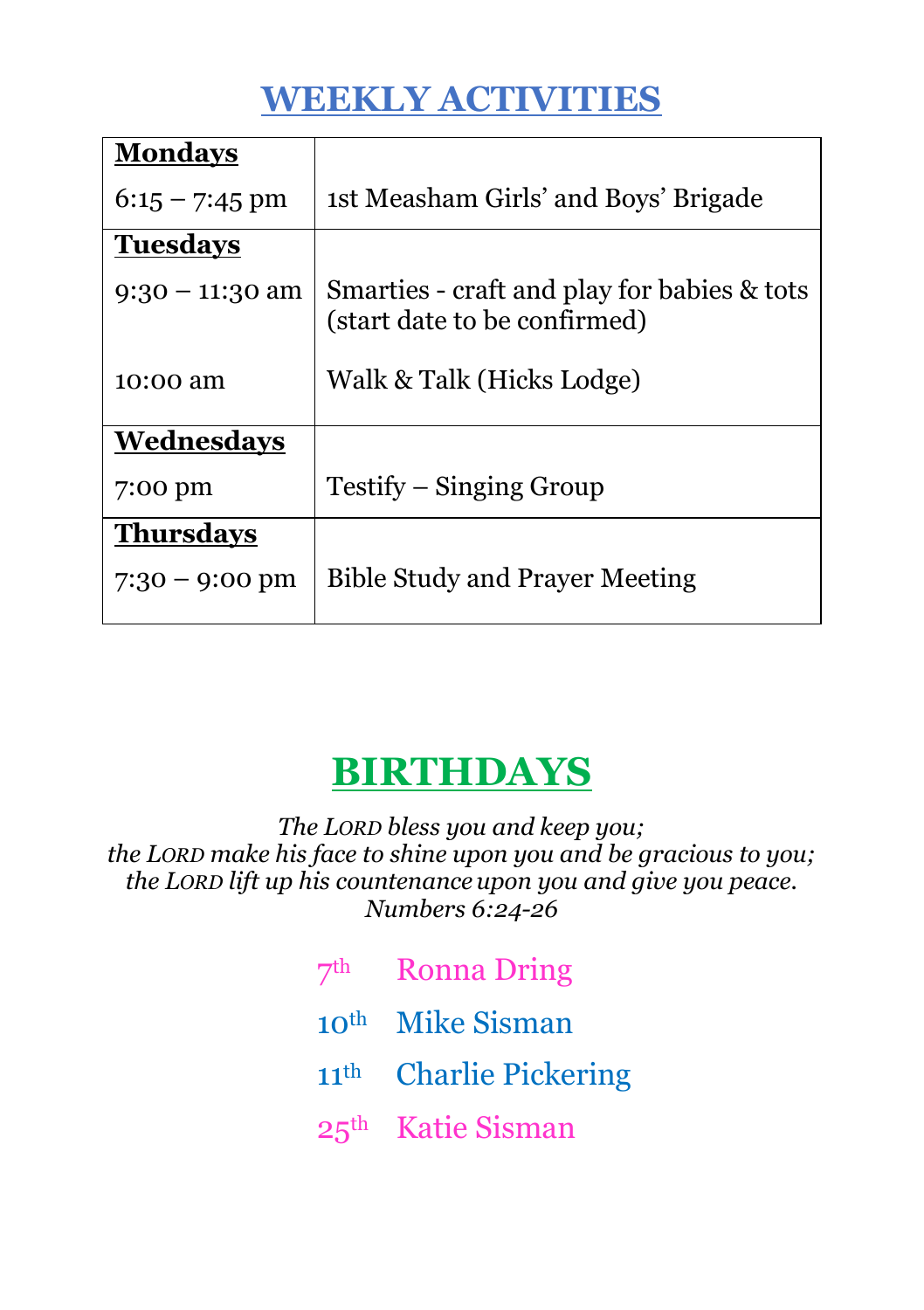#### **WEEKLY ACTIVITIES**

| <b>Mondays</b>    |                                                                             |  |  |
|-------------------|-----------------------------------------------------------------------------|--|--|
| $6:15 - 7:45$ pm  | 1st Measham Girls' and Boys' Brigade                                        |  |  |
| <b>Tuesdays</b>   |                                                                             |  |  |
| $9:30 - 11:30$ am | Smarties - craft and play for babies & tots<br>(start date to be confirmed) |  |  |
| 10:00 am          | Walk & Talk (Hicks Lodge)                                                   |  |  |
| Wednesdays        |                                                                             |  |  |
| 7:00 pm           | Testify – Singing Group                                                     |  |  |
| <b>Thursdays</b>  |                                                                             |  |  |
| $7:30 - 9:00$ pm  | <b>Bible Study and Prayer Meeting</b>                                       |  |  |

### **BIRTHDAYS**

*The LORD bless you and keep you; the LORD make his face to shine upon you and be gracious to you; the LORD lift up his countenance upon you and give you peace. Numbers 6:24-26*

- 7th Ronna Dring 10th Mike Sisman
- 11th Charlie Pickering
- 25th Katie Sisman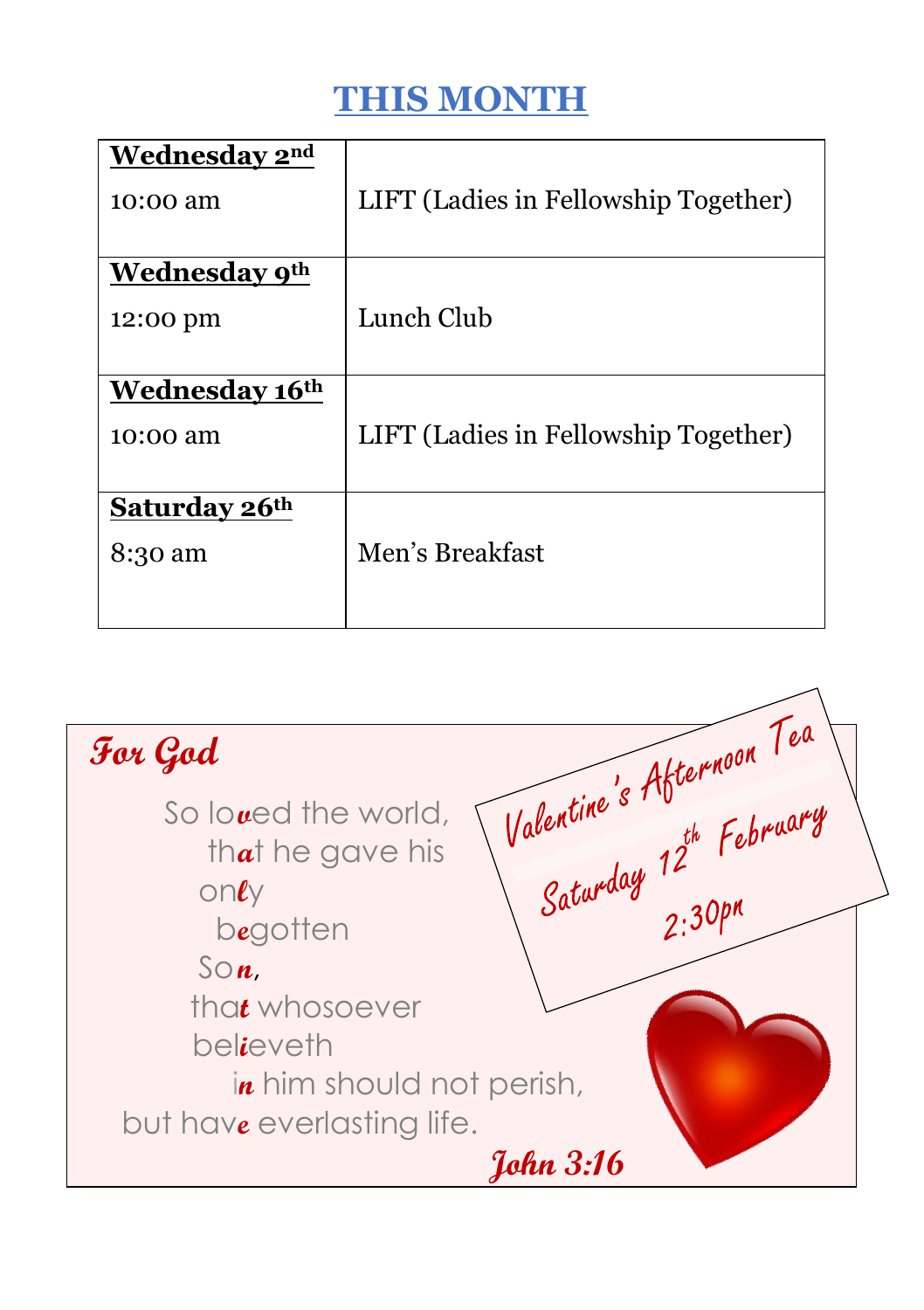#### **THIS MONTH**

| Wednesday 2nd        |                                      |
|----------------------|--------------------------------------|
| 10:00 am             | LIFT (Ladies in Fellowship Together) |
|                      |                                      |
| <b>Wednesday 9th</b> |                                      |
| 12:00 pm             | Lunch Club                           |
|                      |                                      |
| Wednesday 16th       |                                      |
| 10:00 am             | LIFT (Ladies in Fellowship Together) |
|                      |                                      |
| <b>Saturday 26th</b> |                                      |
| 8:30 am              | Men's Breakfast                      |
|                      |                                      |
|                      |                                      |